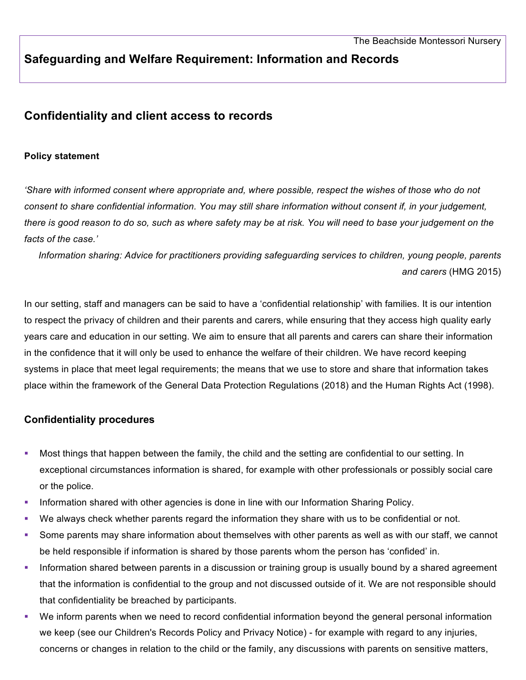# **Safeguarding and Welfare Requirement: Information and Records**

## **Confidentiality and client access to records**

### **Policy statement**

*'Share with informed consent where appropriate and, where possible, respect the wishes of those who do not consent to share confidential information. You may still share information without consent if, in your judgement, there is good reason to do so, such as where safety may be at risk. You will need to base your judgement on the facts of the case.'*

*Information sharing: Advice for practitioners providing safeguarding services to children, young people, parents and carers* (HMG 2015)

In our setting, staff and managers can be said to have a 'confidential relationship' with families. It is our intention to respect the privacy of children and their parents and carers, while ensuring that they access high quality early years care and education in our setting. We aim to ensure that all parents and carers can share their information in the confidence that it will only be used to enhance the welfare of their children. We have record keeping systems in place that meet legal requirements; the means that we use to store and share that information takes place within the framework of the General Data Protection Regulations (2018) and the Human Rights Act (1998).

## **Confidentiality procedures**

- Most things that happen between the family, the child and the setting are confidential to our setting. In exceptional circumstances information is shared, for example with other professionals or possibly social care or the police.
- **Information shared with other agencies is done in line with our Information Sharing Policy.**
- We always check whether parents regard the information they share with us to be confidential or not.
- § Some parents may share information about themselves with other parents as well as with our staff, we cannot be held responsible if information is shared by those parents whom the person has 'confided' in.
- Information shared between parents in a discussion or training group is usually bound by a shared agreement that the information is confidential to the group and not discussed outside of it. We are not responsible should that confidentiality be breached by participants.
- We inform parents when we need to record confidential information beyond the general personal information we keep (see our Children's Records Policy and Privacy Notice) - for example with regard to any injuries, concerns or changes in relation to the child or the family, any discussions with parents on sensitive matters,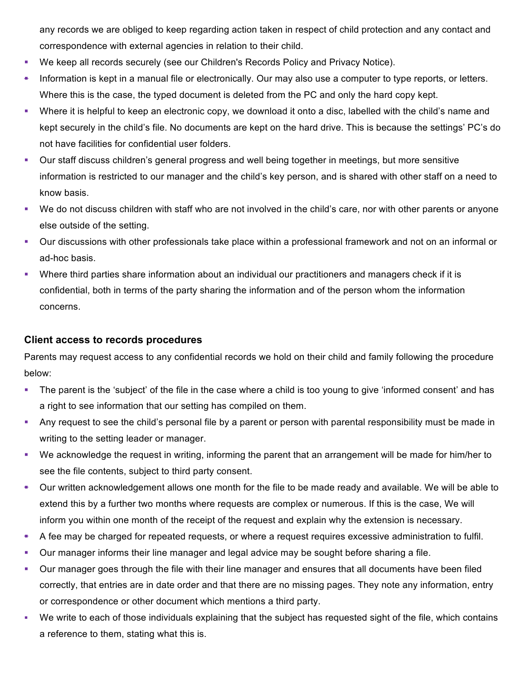any records we are obliged to keep regarding action taken in respect of child protection and any contact and correspondence with external agencies in relation to their child.

- § We keep all records securely (see our Children's Records Policy and Privacy Notice).
- Information is kept in a manual file or electronically. Our may also use a computer to type reports, or letters. Where this is the case, the typed document is deleted from the PC and only the hard copy kept.
- § Where it is helpful to keep an electronic copy, we download it onto a disc, labelled with the child's name and kept securely in the child's file. No documents are kept on the hard drive. This is because the settings' PC's do not have facilities for confidential user folders.
- Our staff discuss children's general progress and well being together in meetings, but more sensitive information is restricted to our manager and the child's key person, and is shared with other staff on a need to know basis.
- § We do not discuss children with staff who are not involved in the child's care, nor with other parents or anyone else outside of the setting.
- § Our discussions with other professionals take place within a professional framework and not on an informal or ad-hoc basis.
- Where third parties share information about an individual our practitioners and managers check if it is confidential, both in terms of the party sharing the information and of the person whom the information concerns.

## **Client access to records procedures**

Parents may request access to any confidential records we hold on their child and family following the procedure below:

- § The parent is the 'subject' of the file in the case where a child is too young to give 'informed consent' and has a right to see information that our setting has compiled on them.
- Any request to see the child's personal file by a parent or person with parental responsibility must be made in writing to the setting leader or manager.
- § We acknowledge the request in writing, informing the parent that an arrangement will be made for him/her to see the file contents, subject to third party consent.
- § Our written acknowledgement allows one month for the file to be made ready and available. We will be able to extend this by a further two months where requests are complex or numerous. If this is the case, We will inform you within one month of the receipt of the request and explain why the extension is necessary.
- § A fee may be charged for repeated requests, or where a request requires excessive administration to fulfil.
- Our manager informs their line manager and legal advice may be sought before sharing a file.
- § Our manager goes through the file with their line manager and ensures that all documents have been filed correctly, that entries are in date order and that there are no missing pages. They note any information, entry or correspondence or other document which mentions a third party.
- § We write to each of those individuals explaining that the subject has requested sight of the file, which contains a reference to them, stating what this is.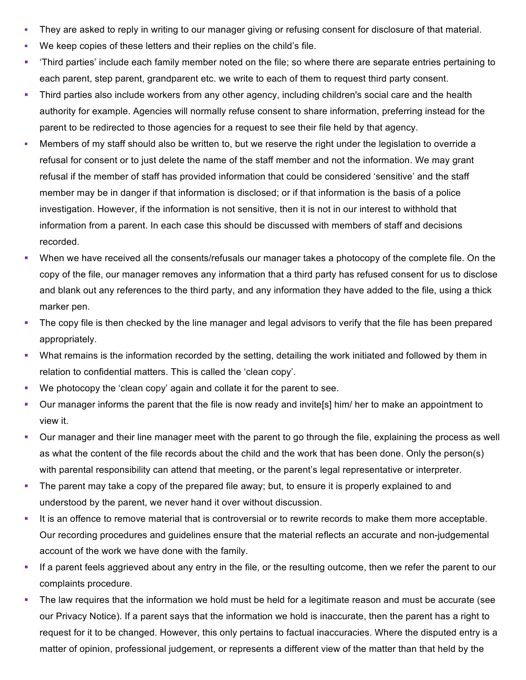- They are asked to reply in writing to our manager giving or refusing consent for disclosure of that material.
- § We keep copies of these letters and their replies on the child's file.
- § 'Third parties' include each family member noted on the file; so where there are separate entries pertaining to each parent, step parent, grandparent etc. we write to each of them to request third party consent.
- Third parties also include workers from any other agency, including children's social care and the health authority for example. Agencies will normally refuse consent to share information, preferring instead for the parent to be redirected to those agencies for a request to see their file held by that agency.
- Members of my staff should also be written to, but we reserve the right under the legislation to override a refusal for consent or to just delete the name of the staff member and not the information. We may grant refusal if the member of staff has provided information that could be considered 'sensitive' and the staff member may be in danger if that information is disclosed; or if that information is the basis of a police investigation. However, if the information is not sensitive, then it is not in our interest to withhold that information from a parent. In each case this should be discussed with members of staff and decisions recorded.
- § When we have received all the consents/refusals our manager takes a photocopy of the complete file. On the copy of the file, our manager removes any information that a third party has refused consent for us to disclose and blank out any references to the third party, and any information they have added to the file, using a thick marker pen.
- The copy file is then checked by the line manager and legal advisors to verify that the file has been prepared appropriately.
- What remains is the information recorded by the setting, detailing the work initiated and followed by them in relation to confidential matters. This is called the 'clean copy'.
- We photocopy the 'clean copy' again and collate it for the parent to see.
- Our manager informs the parent that the file is now ready and invite[s] him/ her to make an appointment to view it.
- § Our manager and their line manager meet with the parent to go through the file, explaining the process as well as what the content of the file records about the child and the work that has been done. Only the person(s) with parental responsibility can attend that meeting, or the parent's legal representative or interpreter.
- The parent may take a copy of the prepared file away; but, to ensure it is properly explained to and understood by the parent, we never hand it over without discussion.
- It is an offence to remove material that is controversial or to rewrite records to make them more acceptable. Our recording procedures and guidelines ensure that the material reflects an accurate and non-judgemental account of the work we have done with the family.
- § If a parent feels aggrieved about any entry in the file, or the resulting outcome, then we refer the parent to our complaints procedure.
- The law requires that the information we hold must be held for a legitimate reason and must be accurate (see our Privacy Notice). If a parent says that the information we hold is inaccurate, then the parent has a right to request for it to be changed. However, this only pertains to factual inaccuracies. Where the disputed entry is a matter of opinion, professional judgement, or represents a different view of the matter than that held by the